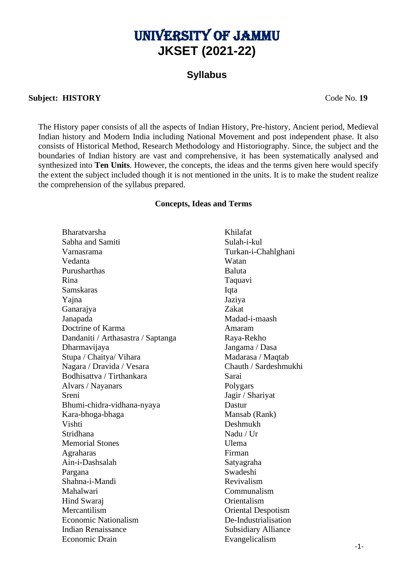# University of Jammu **JKSET (2021-22)**

# **Syllabus**

#### **Subject: HISTORY** Code No. **19**

The History paper consists of all the aspects of Indian History, Pre-history, Ancient period, Medieval Indian history and Modern India including National Movement and post independent phase. It also consists of Historical Method, Research Methodology and Historiography. Since, the subject and the boundaries of Indian history are vast and comprehensive, it has been systematically analysed and synthesized into **Ten Units**. However, the concepts, the ideas and the terms given here would specify the extent the subject included though it is not mentioned in the units. It is to make the student realize the comprehension of the syllabus prepared.

#### **Concepts, Ideas and Terms**

Bharatvarsha Khilafat Sabha and Samiti Sulah-i-kul Varnasrama Turkan-i-Chahlghani Vedanta Watan Purusharthas Baluta Rina Taquavi Samskaras Iqta Yajna Jaziya Ganarajya Zakat Janapada Madad-i-maash Doctrine of Karma Amaram Dandaniti / Arthasastra / Saptanga Raya-Rekho Dharmavijaya Jangama / Dasa Stupa / Chaitya/ Vihara Madarasa / Maqtab Nagara / Dravida / Vesara Chauth / Sardeshmukhi Bodhisattva / Tirthankara Sarai Alvars / Nayanars Polygars Sreni Jagir / Shariyat Bhumi-chidra-vidhana-nyaya Dastur Kara-bhoga-bhaga Mansab (Rank) Vishti Deshmukh Stridhana Nadu / Ur Memorial Stones Ulema Agraharas Firman Ain-i-Dashsalah Satyagraha Pargana Swadeshi Shahna-i-Mandi Revivalism Mahalwari Communalism Hind Swaraj Orientalism Mercantilism Oriental Despotism Economic Nationalism De-Industrialisation Indian Renaissance Subsidiary Alliance Economic Drain Evangelicalism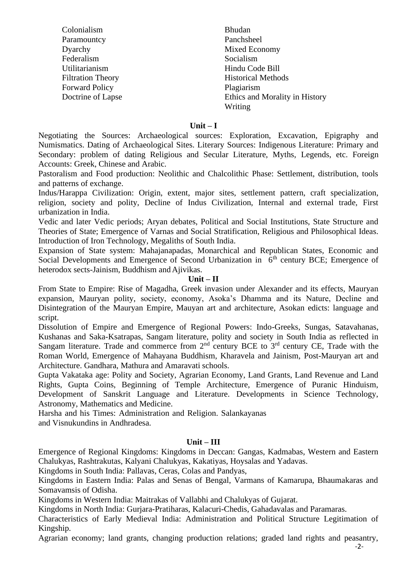| Colonialism              | <b>Bhudan</b>                  |
|--------------------------|--------------------------------|
| Paramountcy              | Panchsheel                     |
| Dyarchy                  | Mixed Economy                  |
| Federalism               | Socialism                      |
| Utilitarianism           | Hindu Code Bill                |
| <b>Filtration Theory</b> | <b>Historical Methods</b>      |
| <b>Forward Policy</b>    | Plagiarism                     |
| Doctrine of Lapse        | Ethics and Morality in History |
|                          | Writing                        |

#### **Unit – I**

Negotiating the Sources: Archaeological sources: Exploration, Excavation, Epigraphy and Numismatics. Dating of Archaeological Sites. Literary Sources: Indigenous Literature: Primary and Secondary: problem of dating Religious and Secular Literature, Myths, Legends, etc. Foreign Accounts: Greek, Chinese and Arabic.

Pastoralism and Food production: Neolithic and Chalcolithic Phase: Settlement, distribution, tools and patterns of exchange.

Indus/Harappa Civilization: Origin, extent, major sites, settlement pattern, craft specialization, religion, society and polity, Decline of Indus Civilization, Internal and external trade, First urbanization in India.

Vedic and later Vedic periods; Aryan debates, Political and Social Institutions, State Structure and Theories of State; Emergence of Varnas and Social Stratification, Religious and Philosophical Ideas. Introduction of Iron Technology, Megaliths of South India.

Expansion of State system: Mahajanapadas, Monarchical and Republican States, Economic and Social Developments and Emergence of Second Urbanization in  $6<sup>th</sup>$  century BCE; Emergence of heterodox sects-Jainism, Buddhism and Ajivikas.

#### **Unit – II**

From State to Empire: Rise of Magadha, Greek invasion under Alexander and its effects, Mauryan expansion, Mauryan polity, society, economy, Asoka's Dhamma and its Nature, Decline and Disintegration of the Mauryan Empire, Mauyan art and architecture, Asokan edicts: language and script.

Dissolution of Empire and Emergence of Regional Powers: Indo-Greeks, Sungas, Satavahanas, Kushanas and Saka-Ksatrapas, Sangam literature, polity and society in South India as reflected in Sangam literature. Trade and commerce from  $2<sup>nd</sup>$  century BCE to  $3<sup>rd</sup>$  century CE, Trade with the Roman World, Emergence of Mahayana Buddhism, Kharavela and Jainism, Post-Mauryan art and Architecture. Gandhara, Mathura and Amaravati schools.

Gupta Vakataka age: Polity and Society, Agrarian Economy, Land Grants, Land Revenue and Land Rights, Gupta Coins, Beginning of Temple Architecture, Emergence of Puranic Hinduism, Development of Sanskrit Language and Literature. Developments in Science Technology, Astronomy, Mathematics and Medicine.

Harsha and his Times: Administration and Religion. Salankayanas and Visnukundins in Andhradesa.

#### **Unit – III**

Emergence of Regional Kingdoms: Kingdoms in Deccan: Gangas, Kadmabas, Western and Eastern Chalukyas, Rashtrakutas, Kalyani Chalukyas, Kakatiyas, Hoysalas and Yadavas.

Kingdoms in South India: Pallavas, Ceras, Colas and Pandyas,

Kingdoms in Eastern India: Palas and Senas of Bengal, Varmans of Kamarupa, Bhaumakaras and Somavamsis of Odisha.

Kingdoms in Western India: Maitrakas of Vallabhi and Chalukyas of Gujarat.

Kingdoms in North India: Gurjara-Pratiharas, Kalacuri-Chedis, Gahadavalas and Paramaras.

Characteristics of Early Medieval India: Administration and Political Structure Legitimation of Kingship.

Agrarian economy; land grants, changing production relations; graded land rights and peasantry,

-2-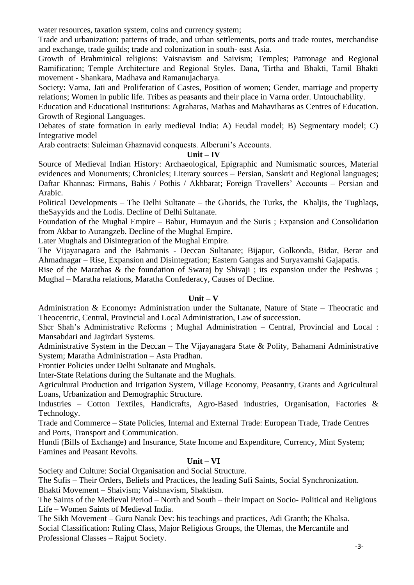water resources, taxation system, coins and currency system;

Trade and urbanization: patterns of trade, and urban settlements, ports and trade routes, merchandise and exchange, trade guilds; trade and colonization in south- east Asia.

Growth of Brahminical religions: Vaisnavism and Saivism; Temples; Patronage and Regional Ramification; Temple Architecture and Regional Styles. Dana, Tirtha and Bhakti, Tamil Bhakti movement - Shankara, Madhava and Ramanujacharya.

Society: Varna, Jati and Proliferation of Castes, Position of women; Gender, marriage and property relations; Women in public life. Tribes as peasants and their place in Varna order. Untouchability.

Education and Educational Institutions: Agraharas, Mathas and Mahaviharas as Centres of Education. Growth of Regional Languages.

Debates of state formation in early medieval India: A) Feudal model; B) Segmentary model; C) Integrative model

Arab contracts: Suleiman Ghaznavid conquests. Alberuni's Accounts.

#### **Unit – IV**

Source of Medieval Indian History: Archaeological, Epigraphic and Numismatic sources, Material evidences and Monuments; Chronicles; Literary sources – Persian, Sanskrit and Regional languages; Daftar Khannas: Firmans, Bahis / Pothis / Akhbarat; Foreign Travellers' Accounts – Persian and Arabic.

Political Developments – The Delhi Sultanate – the Ghorids, the Turks, the Khaljis, the Tughlaqs, theSayyids and the Lodis. Decline of Delhi Sultanate.

Foundation of the Mughal Empire – Babur, Humayun and the Suris ; Expansion and Consolidation from Akbar to Aurangzeb. Decline of the Mughal Empire.

Later Mughals and Disintegration of the Mughal Empire.

The Vijayanagara and the Bahmanis - Deccan Sultanate; Bijapur, Golkonda, Bidar, Berar and Ahmadnagar – Rise, Expansion and Disintegration; Eastern Gangas and Suryavamshi Gajapatis.

Rise of the Marathas & the foundation of Swaraj by Shivaji ; its expansion under the Peshwas ; Mughal – Maratha relations, Maratha Confederacy, Causes of Decline.

## **Unit – V**

Administration & Economy**:** Administration under the Sultanate, Nature of State – Theocratic and Theocentric, Central, Provincial and Local Administration, Law of succession.

Sher Shah's Administrative Reforms ; Mughal Administration – Central, Provincial and Local : Mansabdari and Jagirdari Systems.

Administrative System in the Deccan – The Vijayanagara State & Polity, Bahamani Administrative System; Maratha Administration – Asta Pradhan.

Frontier Policies under Delhi Sultanate and Mughals.

Inter-State Relations during the Sultanate and the Mughals.

Agricultural Production and Irrigation System, Village Economy, Peasantry, Grants and Agricultural Loans, Urbanization and Demographic Structure.

Industries – Cotton Textiles, Handicrafts, Agro-Based industries, Organisation, Factories & Technology.

Trade and Commerce – State Policies, Internal and External Trade: European Trade, Trade Centres and Ports, Transport and Communication.

Hundi (Bills of Exchange) and Insurance, State Income and Expenditure, Currency, Mint System; Famines and Peasant Revolts.

## **Unit – VI**

Society and Culture: Social Organisation and Social Structure.

The Sufis – Their Orders, Beliefs and Practices, the leading Sufi Saints, Social Synchronization.

Bhakti Movement – Shaivism; Vaishnavism, Shaktism.

The Saints of the Medieval Period – North and South – their impact on Socio- Political and Religious Life – Women Saints of Medieval India.

The Sikh Movement – Guru Nanak Dev: his teachings and practices, Adi Granth; the Khalsa. Social Classification**:** Ruling Class, Major Religious Groups, the Ulemas, the Mercantile and Professional Classes – Rajput Society.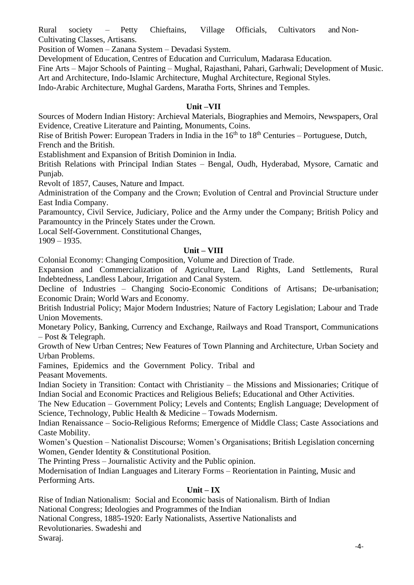Rural society – Petty Chieftains, Village Officials, Cultivators and Non-Cultivating Classes, Artisans.

Position of Women – Zanana System – Devadasi System.

Development of Education, Centres of Education and Curriculum, Madarasa Education.

Fine Arts – Major Schools of Painting – Mughal, Rajasthani, Pahari, Garhwali; Development of Music. Art and Architecture, Indo-Islamic Architecture, Mughal Architecture, Regional Styles.

Indo-Arabic Architecture, Mughal Gardens, Maratha Forts, Shrines and Temples.

# **Unit –VII**

Sources of Modern Indian History: Archieval Materials, Biographies and Memoirs, Newspapers, Oral Evidence, Creative Literature and Painting, Monuments, Coins.

Rise of British Power: European Traders in India in the  $16<sup>th</sup>$  to  $18<sup>th</sup>$  Centuries – Portuguese, Dutch, French and the British.

Establishment and Expansion of British Dominion in India.

British Relations with Principal Indian States – Bengal, Oudh, Hyderabad, Mysore, Carnatic and Punjab.

Revolt of 1857, Causes, Nature and Impact.

Administration of the Company and the Crown; Evolution of Central and Provincial Structure under East India Company.

Paramountcy, Civil Service, Judiciary, Police and the Army under the Company; British Policy and Paramountcy in the Princely States under the Crown.

Local Self-Government. Constitutional Changes,

1909 – 1935.

## **Unit – VIII**

Colonial Economy: Changing Composition, Volume and Direction of Trade.

Expansion and Commercialization of Agriculture, Land Rights, Land Settlements, Rural Indebtedness, Landless Labour, Irrigation and Canal System.

Decline of Industries – Changing Socio-Economic Conditions of Artisans; De-urbanisation; Economic Drain; World Wars and Economy.

British Industrial Policy; Major Modern Industries; Nature of Factory Legislation; Labour and Trade Union Movements.

Monetary Policy, Banking, Currency and Exchange, Railways and Road Transport, Communications – Post & Telegraph.

Growth of New Urban Centres; New Features of Town Planning and Architecture, Urban Society and Urban Problems.

Famines, Epidemics and the Government Policy. Tribal and Peasant Movements.

Indian Society in Transition: Contact with Christianity – the Missions and Missionaries; Critique of Indian Social and Economic Practices and Religious Beliefs; Educational and Other Activities.

The New Education – Government Policy; Levels and Contents; English Language; Development of Science, Technology, Public Health & Medicine – Towads Modernism.

Indian Renaissance – Socio-Religious Reforms; Emergence of Middle Class; Caste Associations and Caste Mobility.

Women's Question – Nationalist Discourse; Women's Organisations; British Legislation concerning Women, Gender Identity & Constitutional Position.

The Printing Press – Journalistic Activity and the Public opinion.

Modernisation of Indian Languages and Literary Forms – Reorientation in Painting, Music and Performing Arts.

## **Unit – IX**

Rise of Indian Nationalism: Social and Economic basis of Nationalism. Birth of Indian National Congress; Ideologies and Programmes of the Indian

National Congress, 1885-1920: Early Nationalists, Assertive Nationalists and

Revolutionaries. Swadeshi and

Swaraj.